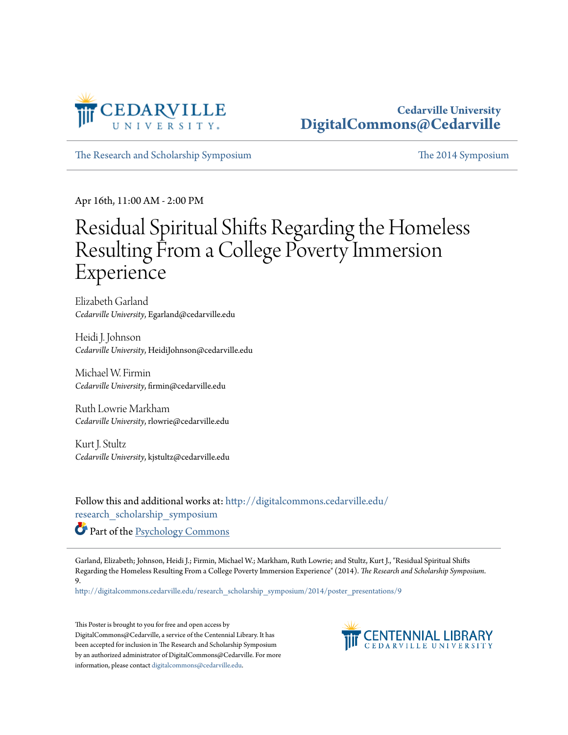

### **Cedarville University [DigitalCommons@Cedarville](http://digitalcommons.cedarville.edu?utm_source=digitalcommons.cedarville.edu%2Fresearch_scholarship_symposium%2F2014%2Fposter_presentations%2F9&utm_medium=PDF&utm_campaign=PDFCoverPages)**

[The Research and Scholarship Symposium](http://digitalcommons.cedarville.edu/research_scholarship_symposium?utm_source=digitalcommons.cedarville.edu%2Fresearch_scholarship_symposium%2F2014%2Fposter_presentations%2F9&utm_medium=PDF&utm_campaign=PDFCoverPages) [The 2014 Symposium](http://digitalcommons.cedarville.edu/research_scholarship_symposium/2014?utm_source=digitalcommons.cedarville.edu%2Fresearch_scholarship_symposium%2F2014%2Fposter_presentations%2F9&utm_medium=PDF&utm_campaign=PDFCoverPages)

Apr 16th, 11:00 AM - 2:00 PM

### Residual Spiritual Shifts Regarding the Homeless Resulting From a College Poverty Immersion Experience

Elizabeth Garland *Cedarville University*, Egarland@cedarville.edu

Heidi J. Johnson *Cedarville University*, HeidiJohnson@cedarville.edu

Michael W. Firmin *Cedarville University*, firmin@cedarville.edu

Ruth Lowrie Markham *Cedarville University*, rlowrie@cedarville.edu

Kurt J. Stultz *Cedarville University*, kjstultz@cedarville.edu

Follow this and additional works at: [http://digitalcommons.cedarville.edu/](http://digitalcommons.cedarville.edu/research_scholarship_symposium?utm_source=digitalcommons.cedarville.edu%2Fresearch_scholarship_symposium%2F2014%2Fposter_presentations%2F9&utm_medium=PDF&utm_campaign=PDFCoverPages) [research\\_scholarship\\_symposium](http://digitalcommons.cedarville.edu/research_scholarship_symposium?utm_source=digitalcommons.cedarville.edu%2Fresearch_scholarship_symposium%2F2014%2Fposter_presentations%2F9&utm_medium=PDF&utm_campaign=PDFCoverPages)

Part of the [Psychology Commons](http://network.bepress.com/hgg/discipline/404?utm_source=digitalcommons.cedarville.edu%2Fresearch_scholarship_symposium%2F2014%2Fposter_presentations%2F9&utm_medium=PDF&utm_campaign=PDFCoverPages)

Garland, Elizabeth; Johnson, Heidi J.; Firmin, Michael W.; Markham, Ruth Lowrie; and Stultz, Kurt J., "Residual Spiritual Shifts Regarding the Homeless Resulting From a College Poverty Immersion Experience" (2014). *The Research and Scholarship Symposium*. 9.

[http://digitalcommons.cedarville.edu/research\\_scholarship\\_symposium/2014/poster\\_presentations/9](http://digitalcommons.cedarville.edu/research_scholarship_symposium/2014/poster_presentations/9?utm_source=digitalcommons.cedarville.edu%2Fresearch_scholarship_symposium%2F2014%2Fposter_presentations%2F9&utm_medium=PDF&utm_campaign=PDFCoverPages)

This Poster is brought to you for free and open access by DigitalCommons@Cedarville, a service of the Centennial Library. It has been accepted for inclusion in The Research and Scholarship Symposium by an authorized administrator of DigitalCommons@Cedarville. For more information, please contact [digitalcommons@cedarville.edu.](mailto:digitalcommons@cedarville.edu)